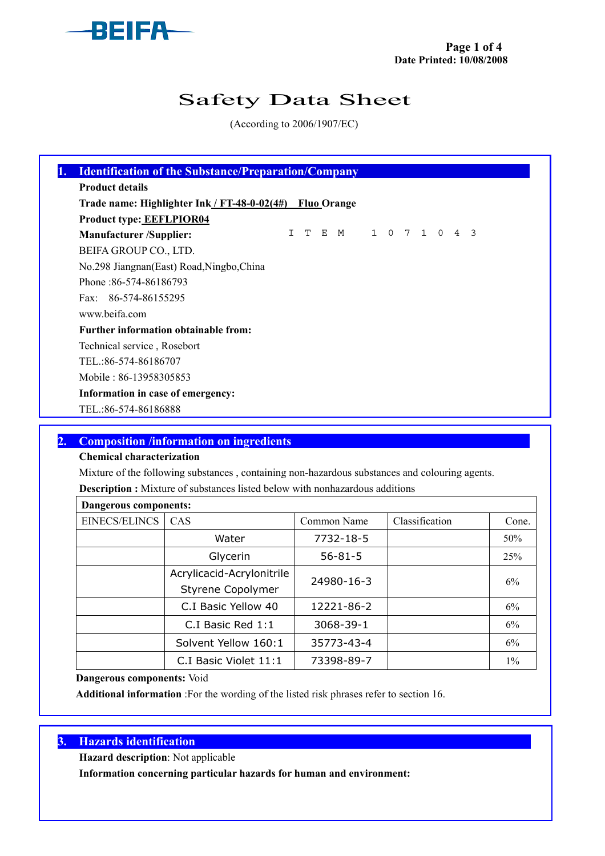

# Safety Data Sheet

(According to 2006/1907/EC)

| <b>Product details</b>                                   |  |                       |  |  |  |  |
|----------------------------------------------------------|--|-----------------------|--|--|--|--|
| Trade name: Highlighter Ink / FT-48-0-02(4#) Fluo Orange |  |                       |  |  |  |  |
| <b>Product type: EEFLPIOR04</b>                          |  |                       |  |  |  |  |
| <b>Manufacturer/Supplier:</b>                            |  | I T E M 1 0 7 1 0 4 3 |  |  |  |  |
| BEIFA GROUP CO., LTD.                                    |  |                       |  |  |  |  |
| No.298 Jiangnan (East) Road, Ningbo, China               |  |                       |  |  |  |  |
| Phone: 86-574-86186793                                   |  |                       |  |  |  |  |
| Fax: 86-574-86155295                                     |  |                       |  |  |  |  |
| www.beifa.com                                            |  |                       |  |  |  |  |
| <b>Further information obtainable from:</b>              |  |                       |  |  |  |  |
| Technical service, Rosebort                              |  |                       |  |  |  |  |
| TEL.:86-574-86186707                                     |  |                       |  |  |  |  |
| Mobile: 86-13958305853                                   |  |                       |  |  |  |  |
| Information in case of emergency:                        |  |                       |  |  |  |  |
| TEL.:86-574-86186888                                     |  |                       |  |  |  |  |

## 2. Composition /information on ingredients

#### Chemical characterization

Mixture of the following substances , containing non-hazardous substances and colouring agents.

Description : Mixture of substances listed below with nonhazardous additions

| <b>Dangerous components:</b> |                           |               |                |       |  |  |  |  |  |  |  |
|------------------------------|---------------------------|---------------|----------------|-------|--|--|--|--|--|--|--|
| <b>EINECS/ELINCS</b>         | <b>CAS</b>                | Common Name   | Classification | Cone. |  |  |  |  |  |  |  |
|                              | Water                     | 7732-18-5     |                | 50%   |  |  |  |  |  |  |  |
|                              | Glycerin                  | $56 - 81 - 5$ |                | 25%   |  |  |  |  |  |  |  |
|                              | Acrylicacid-Acrylonitrile | 24980-16-3    |                | 6%    |  |  |  |  |  |  |  |
|                              | Styrene Copolymer         |               |                |       |  |  |  |  |  |  |  |
|                              | C.I Basic Yellow 40       | 12221-86-2    |                | 6%    |  |  |  |  |  |  |  |
|                              | C.I Basic Red 1:1         | 3068-39-1     |                | 6%    |  |  |  |  |  |  |  |
|                              | Solvent Yellow 160:1      | 35773-43-4    |                | 6%    |  |  |  |  |  |  |  |
|                              | C.I Basic Violet 11:1     | 73398-89-7    |                | $1\%$ |  |  |  |  |  |  |  |

Dangerous components: Void

Additional information :For the wording of the listed risk phrases refer to section 16.

## 3. Hazards identification

Hazard description: Not applicable

Information concerning particular hazards for human and environment: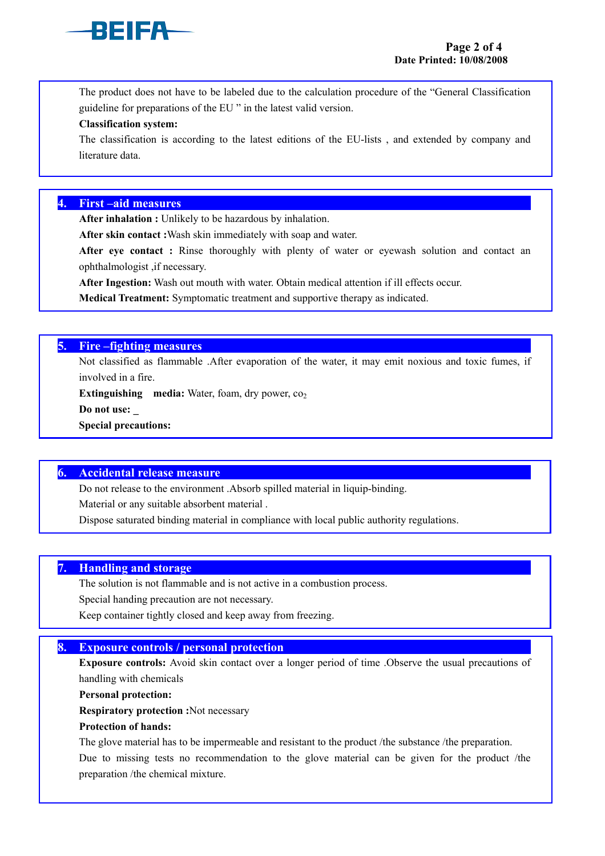

The product does not have to be labeled due to the calculation procedure of the "General Classification guideline for preparations of the EU " in the latest valid version.

#### Classification system:

The classification is according to the latest editions of the EU-lists , and extended by company and literature data.

#### 4. First –aid measures

After inhalation : Unlikely to be hazardous by inhalation.

After skin contact :Wash skin immediately with soap and water.

After eye contact: Rinse thoroughly with plenty of water or eyewash solution and contact an ophthalmologist ,if necessary.

After Ingestion: Wash out mouth with water. Obtain medical attention if ill effects occur.

Medical Treatment: Symptomatic treatment and supportive therapy as indicated.

## 5. Fire –fighting measures

Not classified as flammable .After evaporation of the water, it may emit noxious and toxic fumes, if involved in a fire.

Extinguishing media: Water, foam, dry power,  $co<sub>2</sub>$ 

Do not use:

Special precautions:

## 6. Accidental release measure

Do not release to the environment .Absorb spilled material in liquip-binding.

Material or any suitable absorbent material .

Dispose saturated binding material in compliance with local public authority regulations.

#### 7. Handling and storage

The solution is not flammable and is not active in a combustion process.

Special handing precaution are not necessary.

Keep container tightly closed and keep away from freezing.

## 8. Exposure controls / personal protection

Exposure controls: Avoid skin contact over a longer period of time .Observe the usual precautions of handling with chemicals

Personal protection:

Respiratory protection :Not necessary

#### Protection of hands:

The glove material has to be impermeable and resistant to the product /the substance /the preparation.

Due to missing tests no recommendation to the glove material can be given for the product /the preparation /the chemical mixture.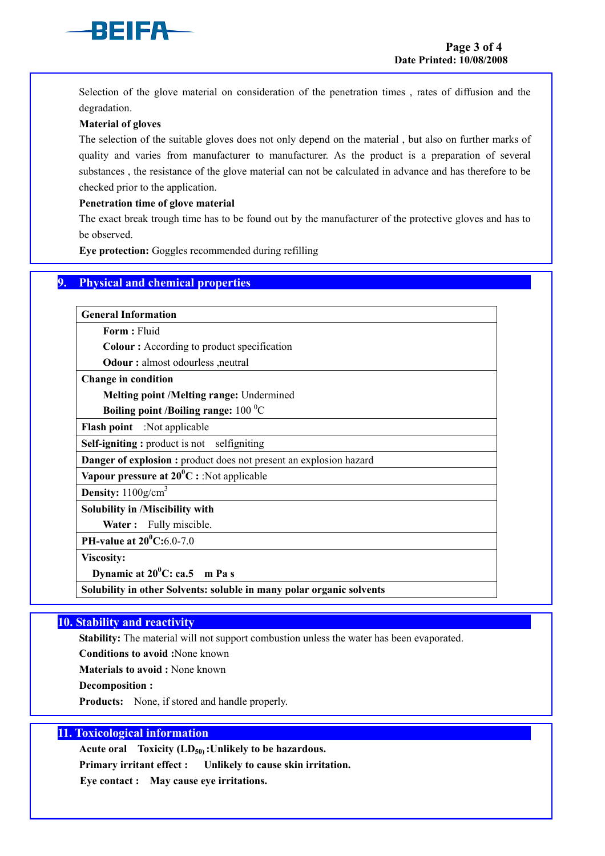

Selection of the glove material on consideration of the penetration times , rates of diffusion and the degradation.

#### Material of gloves

The selection of the suitable gloves does not only depend on the material , but also on further marks of quality and varies from manufacturer to manufacturer. As the product is a preparation of several substances , the resistance of the glove material can not be calculated in advance and has therefore to be checked prior to the application.

#### Penetration time of glove material

The exact break trough time has to be found out by the manufacturer of the protective gloves and has to be observed.

Eye protection: Goggles recommended during refilling

#### 9. Physical and chemical properties

General Information

Form : Fluid

Colour : According to product specification

Odour : almost odourless ,neutral

Change in condition

Melting point /Melting range: Undermined

Boiling point /Boiling range:  $100 \degree C$ 

Flash point :Not applicable

Self-igniting : product is not selfigniting

Danger of explosion : product does not present an explosion hazard

Vapour pressure at  $20^0C$  : :Not applicable

**Density:**  $1100$ g/cm<sup>3</sup>

Solubility in /Miscibility with

Water: Fully miscible.

PH-value at  $20^0C:6.0-7.0$ 

Viscosity:

Dynamic at  $20^0$ C: ca.5 m Pa s

Solubility in other Solvents: soluble in many polar organic solvents

#### 10. Stability and reactivity

Stability: The material will not support combustion unless the water has been evaporated.

Conditions to avoid :None known

Materials to avoid : None known

Decomposition :

Products: None, if stored and handle properly.

#### 11. Toxicological information

Acute oral Toxicity  $(LD_{50})$ : Unlikely to be hazardous.

Primary irritant effect : Unlikely to cause skin irritation.

Eye contact : May cause eye irritations.